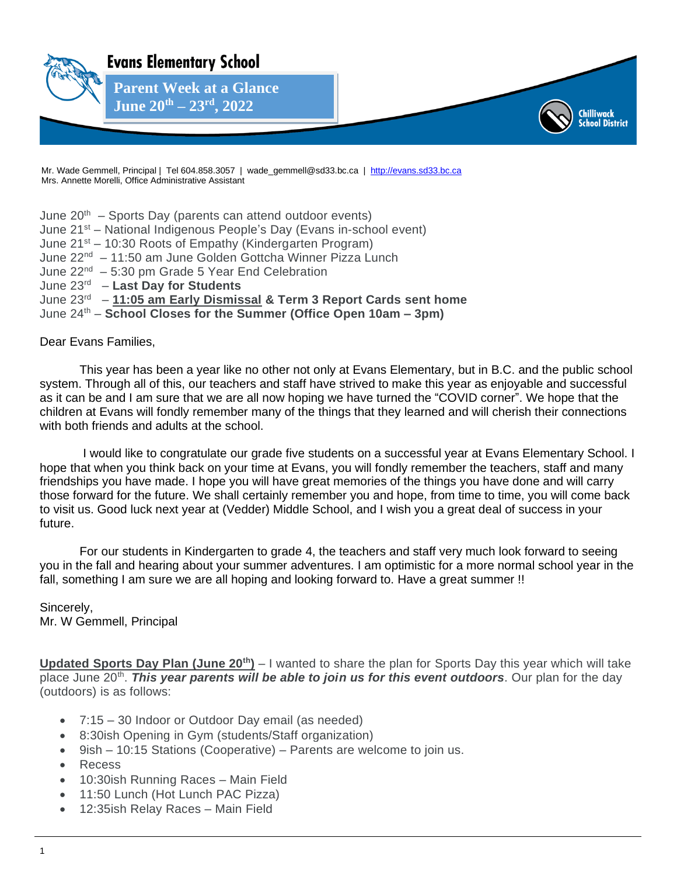

Mr. Wade Gemmell, Principal | Tel 604.858.3057 | wade\_gemmell@sd33.bc.ca | [http://evans.sd33.bc.ca](http://evans.sd33.bc.ca/) Mrs. Annette Morelli, Office Administrative Assistant

June  $20<sup>th</sup>$  – Sports Day (parents can attend outdoor events) June 21st – National Indigenous People's Day (Evans in-school event) June 21<sup>st</sup> – 10:30 Roots of Empathy (Kindergarten Program) June 22<sup>nd</sup> – 11:50 am June Golden Gottcha Winner Pizza Lunch June 22<sup>nd</sup> - 5:30 pm Grade 5 Year End Celebration June 23 rd – **Last Day for Students** June 23<sup>rd</sup> - 11:05 am Early Dismissal & Term 3 Report Cards sent home

June 24th – **School Closes for the Summer (Office Open 10am – 3pm)**

## Dear Evans Families,

This year has been a year like no other not only at Evans Elementary, but in B.C. and the public school system. Through all of this, our teachers and staff have strived to make this year as enjoyable and successful as it can be and I am sure that we are all now hoping we have turned the "COVID corner". We hope that the children at Evans will fondly remember many of the things that they learned and will cherish their connections with both friends and adults at the school.

I would like to congratulate our grade five students on a successful year at Evans Elementary School. I hope that when you think back on your time at Evans, you will fondly remember the teachers, staff and many friendships you have made. I hope you will have great memories of the things you have done and will carry those forward for the future. We shall certainly remember you and hope, from time to time, you will come back to visit us. Good luck next year at (Vedder) Middle School, and I wish you a great deal of success in your future.

For our students in Kindergarten to grade 4, the teachers and staff very much look forward to seeing you in the fall and hearing about your summer adventures. I am optimistic for a more normal school year in the fall, something I am sure we are all hoping and looking forward to. Have a great summer !!

Sincerely, Mr. W Gemmell, Principal

**Updated Sports Day Plan (June 20th)** – I wanted to share the plan for Sports Day this year which will take place June 20<sup>th</sup>. This year parents will be able to join us for this event outdoors. Our plan for the day (outdoors) is as follows:

- 7:15 30 Indoor or Outdoor Day email (as needed)
- 8:30ish Opening in Gym (students/Staff organization)
- 9ish 10:15 Stations (Cooperative) Parents are welcome to join us.
- Recess
- 10:30ish Running Races Main Field
- 11:50 Lunch (Hot Lunch PAC Pizza)
- 12:35ish Relay Races Main Field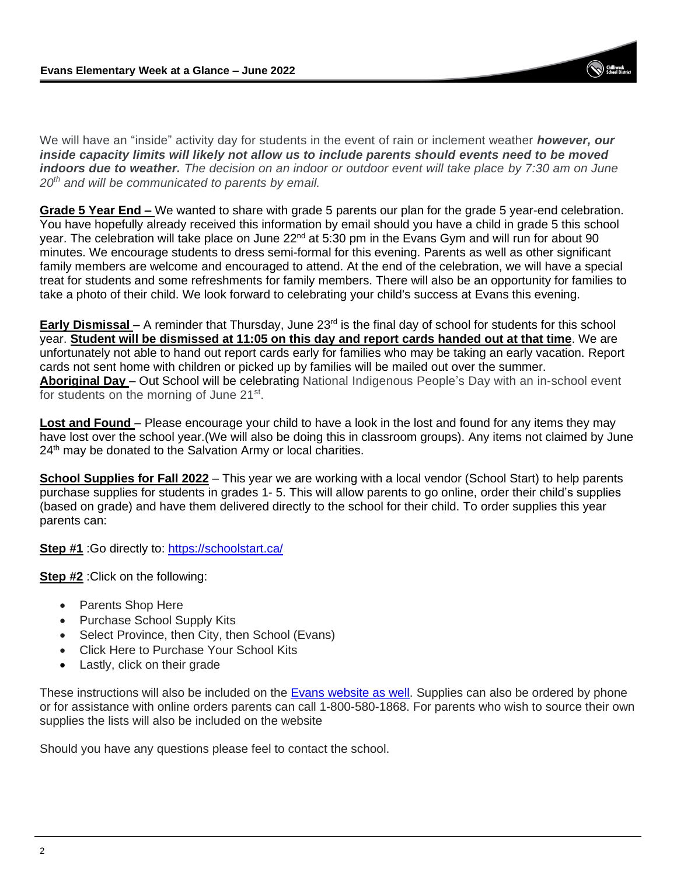We will have an "inside" activity day for students in the event of rain or inclement weather *however, our inside capacity limits will likely not allow us to include parents should events need to be moved indoors due to weather. The decision on an indoor or outdoor event will take place by 7:30 am on June 20th and will be communicated to parents by email.*

**Grade 5 Year End –** We wanted to share with grade 5 parents our plan for the grade 5 year-end celebration. You have hopefully already received this information by email should you have a child in grade 5 this school year. The celebration will take place on June 22<sup>nd</sup> at 5:30 pm in the Evans Gym and will run for about 90 minutes. We encourage students to dress semi-formal for this evening. Parents as well as other significant family members are welcome and encouraged to attend. At the end of the celebration, we will have a special treat for students and some refreshments for family members. There will also be an opportunity for families to take a photo of their child. We look forward to celebrating your child's success at Evans this evening.

**Early Dismissal** – A reminder that Thursday, June 23<sup>rd</sup> is the final day of school for students for this school year. **Student will be dismissed at 11:05 on this day and report cards handed out at that time**. We are unfortunately not able to hand out report cards early for families who may be taking an early vacation. Report cards not sent home with children or picked up by families will be mailed out over the summer. **Aboriginal Day** – Out School will be celebrating National Indigenous People's Day with an in-school event for students on the morning of June 21<sup>st</sup>.

**Lost and Found** – Please encourage your child to have a look in the lost and found for any items they may have lost over the school year.(We will also be doing this in classroom groups). Any items not claimed by June 24<sup>th</sup> may be donated to the Salvation Army or local charities.

**School Supplies for Fall 2022** – This year we are working with a local vendor (School Start) to help parents purchase supplies for students in grades 1- 5. This will allow parents to go online, order their child's supplies (based on grade) and have them delivered directly to the school for their child. To order supplies this year parents can:

**Step #1** :Go directly to:<https://schoolstart.ca/>

**Step #2** :Click on the following:

- Parents Shop Here
- Purchase School Supply Kits
- Select Province, then City, then School (Evans)
- Click Here to Purchase Your School Kits
- Lastly, click on their grade

These instructions will also be included on the **Evans website as well**. Supplies can also be ordered by phone or for assistance with online orders parents can call 1-800-580-1868. For parents who wish to source their own supplies the lists will also be included on the website

Should you have any questions please feel to contact the school.